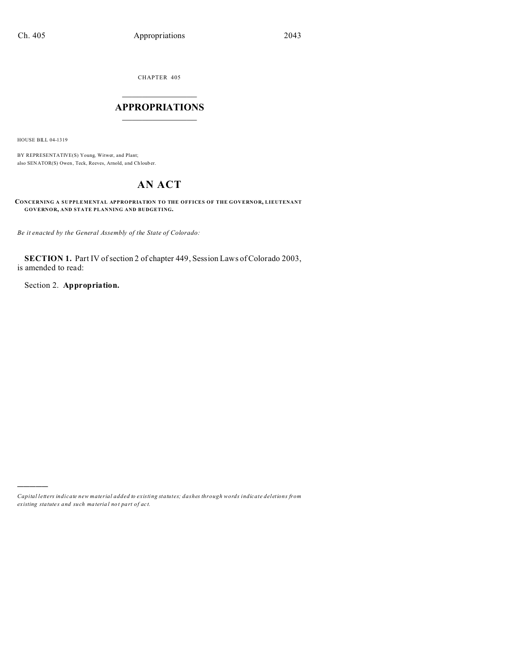CHAPTER 405  $\overline{\phantom{a}}$  , where  $\overline{\phantom{a}}$ 

### **APPROPRIATIONS**  $\_$   $\_$   $\_$   $\_$   $\_$   $\_$   $\_$   $\_$   $\_$

HOUSE BILL 04-1319

)))))

BY REPRESENTATIVE(S) Young, Witwer, and Plant; also SENATOR(S) Owen, Teck, Reeves, Arnold, and Ch loub er.

# **AN ACT**

**CONCERNING A SUPPLEMENTAL APPROPRIATION TO THE OFFICES OF THE GOVERNOR, LIEUTENANT GOVERNOR, AND STATE PLANNING AND BUDGETING.**

*Be it enacted by the General Assembly of the State of Colorado:*

**SECTION 1.** Part IV of section 2 of chapter 449, Session Laws of Colorado 2003, is amended to read:

Section 2. **Appropriation.**

*Capital letters indicate new material added to existing statutes; dashes through words indicate deletions from ex isting statute s and such ma teria l no t pa rt of ac t.*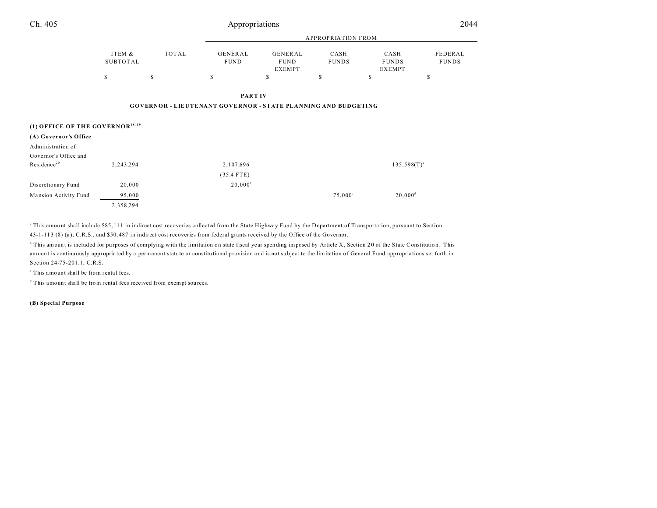| Ch. 405                                      |                           | Appropriations |                                                                      |                                         |                      |                                       | 2044                    |  |
|----------------------------------------------|---------------------------|----------------|----------------------------------------------------------------------|-----------------------------------------|----------------------|---------------------------------------|-------------------------|--|
|                                              |                           |                | <b>APPROPRIATION FROM</b>                                            |                                         |                      |                                       |                         |  |
|                                              | ITEM &<br><b>SUBTOTAL</b> | TOTAL          | GENERAL<br><b>FUND</b>                                               | GENERAL<br><b>FUND</b><br><b>EXEMPT</b> | CASH<br><b>FUNDS</b> | CASH<br><b>FUNDS</b><br><b>EXEMPT</b> | FEDERAL<br><b>FUNDS</b> |  |
|                                              | \$                        | s              | s                                                                    | S                                       | \$                   | \$                                    | S                       |  |
|                                              |                           |                | <b>PARTIV</b>                                                        |                                         |                      |                                       |                         |  |
|                                              |                           |                | <b>GOVERNOR - LIEUTENANT GOVERNOR - STATE PLANNING AND BUDGETING</b> |                                         |                      |                                       |                         |  |
| (1) OFFICE OF THE GOVERNOR <sup>18, 19</sup> |                           |                |                                                                      |                                         |                      |                                       |                         |  |
| (A) Governor's Office                        |                           |                |                                                                      |                                         |                      |                                       |                         |  |
| Administration of                            |                           |                |                                                                      |                                         |                      |                                       |                         |  |
| Governor's Office and                        |                           |                |                                                                      |                                         |                      |                                       |                         |  |
| Residence <sup>20</sup>                      | 2,243,294                 |                | 2,107,696                                                            |                                         |                      | $135,598(T)^{a}$                      |                         |  |
|                                              |                           |                | $(35.4$ FTE)                                                         |                                         |                      |                                       |                         |  |

Mansion Activity Fund 95,000 95,000 75,000 75,000 75,000 75,000 75,000 75,000 75,000 75,000 75,000 75,000 75,000 75,000 75,000 75,000 75,000 75,000 75,000 75,000 75,000 75,000 75,000 75,000 75,000 75,000 75,000 75,000 75,0 2,358,294

<sup>a</sup> This amount shall include \$85,111 in indirect cost recoveries collected from the State Highway Fund by the Department of Transportation, pursuant to Section 43-1-11 3 (8) (a ), C.R.S., and \$50 ,487 in indirect cost recoveries from federal grants received by the Office of the Governor.

<sup>6</sup> This amount is included for purposes of complying with the limitation on state fiscal year spending imposed by Article X, Section 20 of the State Constitution. This amount is continuously appropria ted by a permanent statute or constitu tional provision a nd is not su bject to the limitation of General Fund appropria tions set forth in Section 24-75-201.1, C.R.S.

 $20,000^d$ 

<sup>c</sup> This amount shall be from rental fees.

<sup>d</sup> This amount shall be from rental fees received from exempt sources.

Discretionary Fund 20,000 20,000 20,000 20,000 20,000 20,000 20,000 20,000 20,000 20,000 20,000 20,000 20,000  $\mu$ 

**(B) Special Purpose**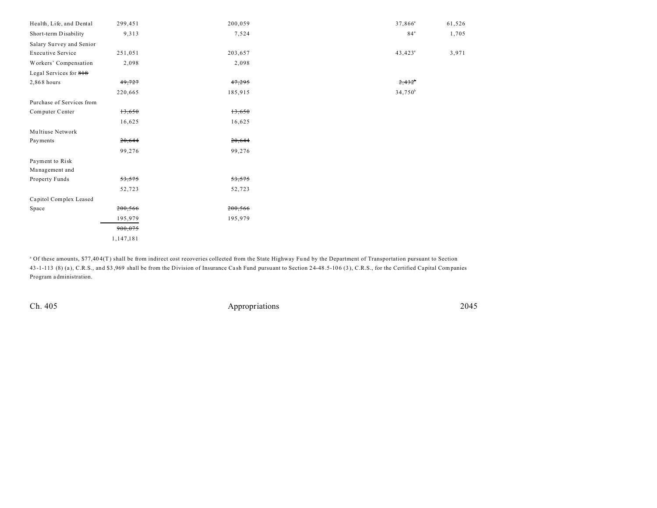| Health, Life, and Dental  | 299,451   | 200,059 | $37,866^a$      | 61,526 |
|---------------------------|-----------|---------|-----------------|--------|
| Short-term Disability     | 9,313     | 7,524   | 84 <sup>a</sup> | 1,705  |
| Salary Survey and Senior  |           |         |                 |        |
| <b>Executive Service</b>  | 251,051   | 203,657 | $43,423^a$      | 3,971  |
| Workers' Compensation     | 2,098     | 2,098   |                 |        |
| Legal Services for 818    |           |         |                 |        |
| 2,868 hours               | 49,727    | 47,295  | 2,432           |        |
|                           | 220,665   | 185,915 | $34,750^b$      |        |
| Purchase of Services from |           |         |                 |        |
| Computer Center           | 13,650    | 13,650  |                 |        |
|                           | 16,625    | 16,625  |                 |        |
| Multiuse Network          |           |         |                 |        |
| Payments                  | 20,644    | 20,644  |                 |        |
|                           | 99,276    | 99,276  |                 |        |
| Payment to Risk           |           |         |                 |        |
| Management and            |           |         |                 |        |
| Property Funds            | 53,575    | 53,575  |                 |        |
|                           | 52,723    | 52,723  |                 |        |
| Capitol Complex Leased    |           |         |                 |        |
| Space                     | 200,566   | 200,566 |                 |        |
|                           | 195,979   | 195,979 |                 |        |
|                           | 900,075   |         |                 |        |
|                           | 1,147,181 |         |                 |        |

<sup>a</sup> Of these amounts, \$77,404(T) shall be from indirect cost recoveries collected from the State Highway Fund by the Department of Transportation pursuant to Section 43 -1-113 (8) (a ), C.R.S., and \$3 ,969 shall be from the Division of Insurance Ca sh Fund pursuant to Section 24-48 .5-106 (3 ), C.R.S., for the Certified Capital Companies Program a dministration.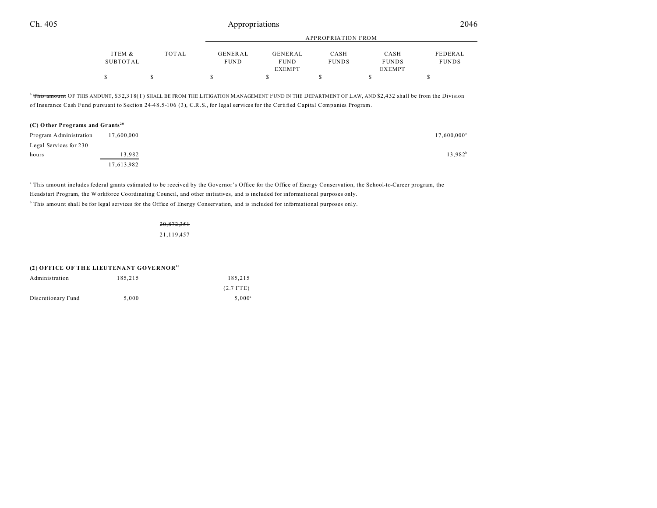|          |       | APPROPRIATION FROM |               |              |               |              |
|----------|-------|--------------------|---------------|--------------|---------------|--------------|
| ITEM &   | TOTAL | GENERAL            | GENERAL       | CASH         | CASH          | FEDERAL      |
| SUBTOTAL |       | <b>FUND</b>        | <b>FUND</b>   | <b>FUNDS</b> | <b>FUNDS</b>  | <b>FUNDS</b> |
|          |       |                    | <b>EXEMPT</b> |              | <b>EXEMPT</b> |              |
|          |       |                    |               |              |               |              |

<sup>b</sup> This amount OF THIS AMOUNT, \$32,318(T) SHALL BE FROM THE LITIGATION MANAGEMENT FUND IN THE DEPARTMENT OF LAW, AND \$2,432 shall be from the Division of Insurance Cash Fund pursuant to Section 24-48.5-106 (3), C.R.S., for legal services for the Certified Capital Companies Program.

### **(C) O ther Prog rams and Gr ants <sup>20</sup>** Program Administration  $17,600,000$ Legal Services for 230 hours and  $13,982$  and  $13,982$  and  $13,982$  and  $13,982$  and  $13,982$  and  $13,982$  and  $13,982$  and  $13,982$  and  $13,982$  and  $13,982$  and  $13,982$  and  $13,982$  and  $13,982$  and  $13,982$  and  $13,982$  and  $13,982$  and  $13$ 17,613,982

This amount includes federal grants estimated to be received by the Governor's Office for the Office of Energy Conservation, the School-to-Career program, the Headstart Program, the Workforce Coordinating Council, and other initiatives, and is included for informational purposes only. <sup>b</sup> This amount shall be for legal services for the Office of Energy Conservation, and is included for informational purposes only.

> 20,872,351 21,119,457

#### **(2) OFFICE OF THE LIEUTENANT GOVERNOR<sup>18</sup>**

| Administration     | 185.215 | 185.215         |
|--------------------|---------|-----------------|
|                    |         | $(2.7$ FTE)     |
| Discretionary Fund | 5.000   | $5.000^{\circ}$ |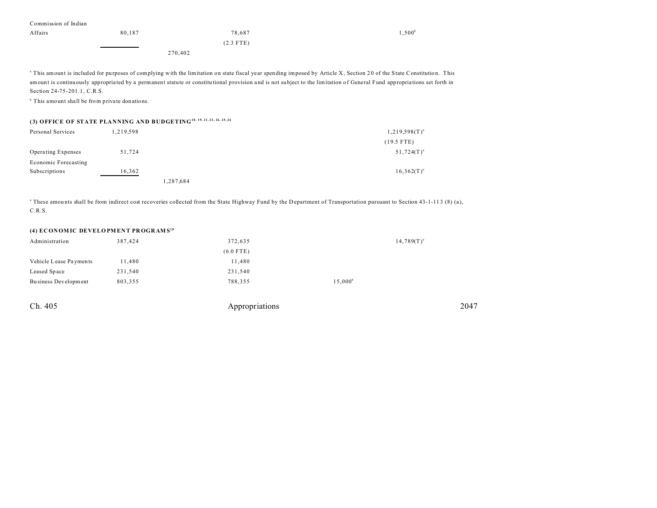| Commission of Indian                                      |         |             |                                                                                                                                                                                   |  |  |
|-----------------------------------------------------------|---------|-------------|-----------------------------------------------------------------------------------------------------------------------------------------------------------------------------------|--|--|
| Affairs                                                   | 80.187  | 78.687      | .500 <sup>b</sup>                                                                                                                                                                 |  |  |
|                                                           |         | $(2.3$ FTE) |                                                                                                                                                                                   |  |  |
|                                                           | 270,402 |             |                                                                                                                                                                                   |  |  |
|                                                           |         |             |                                                                                                                                                                                   |  |  |
|                                                           |         |             | <sup>a</sup> This amount is included for purposes of complying with the limitation on state fiscal year spending imposed by Article X, Section 20 of the State Constitution. This |  |  |
|                                                           |         |             | amount is continuously appropriated by a permanent statute or constitutional provision and is not subject to the limitation of General Fund appropriations set forth in           |  |  |
| Section 24-75-201.1, C.R.S.                               |         |             |                                                                                                                                                                                   |  |  |
| <sup>b</sup> This amount shall be from private donations. |         |             |                                                                                                                                                                                   |  |  |
|                                                           |         |             |                                                                                                                                                                                   |  |  |

## **(3) OFFICE OF STATE PLANNING AND BUDGETING18, 19, 21, 23, 24, 25, 26**

| Personal Services    | 1,219,598 |           | $1,219,598(T)^{a}$ |
|----------------------|-----------|-----------|--------------------|
|                      |           |           | $(19.5$ FTE)       |
| Operating Expenses   | 51,724    |           | $51,724(T)^{a}$    |
| Economic Forecasting |           |           |                    |
| Subscriptions        | 16,362    |           | $16,362(T)^{a}$    |
|                      |           | 1,287,684 |                    |

<sup>a</sup> These amounts shall be from indirect cost recoveries collected from the State Highway Fund by the Department of Transportation pursuant to Section 43-1-113 (8) (a), C.R.S.

#### **(4) EC ON OM IC DEVELO PM EN T PR OGR AM S<sup>18</sup>**

| 387,424 | 372,635 | $14,789(T)^{a}$  |
|---------|---------|------------------|
|         |         |                  |
| 11,480  | 11,480  |                  |
| 231,540 | 231,540 |                  |
| 803,355 | 788,355 | $15,000^{\circ}$ |
|         |         | $(6.0$ FTE)      |

| Ch. 405 | Appropriations | 2047 |
|---------|----------------|------|
|---------|----------------|------|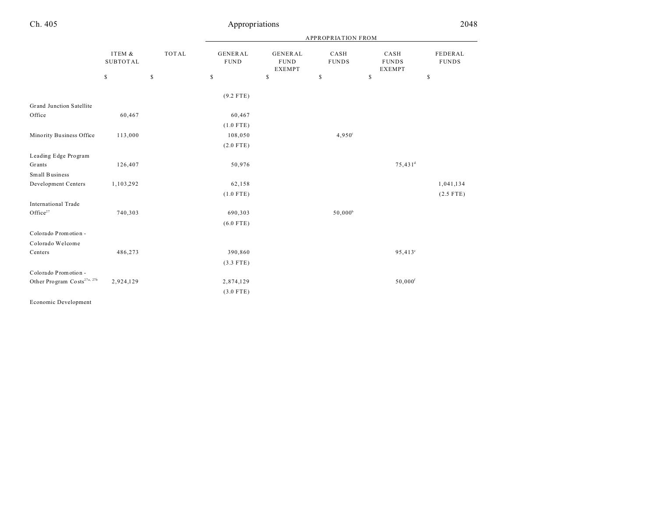|                                         |                           |              | <b>APPROPRIATION FROM</b>                                             |                                                 |                      |                                       |                         |
|-----------------------------------------|---------------------------|--------------|-----------------------------------------------------------------------|-------------------------------------------------|----------------------|---------------------------------------|-------------------------|
|                                         | ITEM &<br><b>SUBTOTAL</b> | <b>TOTAL</b> | <b>GENERAL</b><br><b>FUND</b>                                         | <b>GENERAL</b><br>${\tt FUND}$<br><b>EXEMPT</b> | CASH<br><b>FUNDS</b> | CASH<br><b>FUNDS</b><br><b>EXEMPT</b> | FEDERAL<br><b>FUNDS</b> |
|                                         | $\mathbb{S}$              | $\mathbb S$  | $\mathbb{S}% _{t}\left( t\right) \equiv\mathbb{S}_{t}\left( t\right)$ | $\mathbb{S}$                                    | \$                   | \$                                    | $\mathbb{S}$            |
|                                         |                           |              | $(9.2$ FTE)                                                           |                                                 |                      |                                       |                         |
| Grand Junction Satellite                |                           |              |                                                                       |                                                 |                      |                                       |                         |
| Office                                  | 60,467                    |              | 60,467                                                                |                                                 |                      |                                       |                         |
|                                         |                           |              | $(1.0$ FTE)                                                           |                                                 |                      |                                       |                         |
| Minority Business Office                | 113,000                   |              | 108,050                                                               |                                                 | $4,950^{\circ}$      |                                       |                         |
|                                         |                           |              | $(2.0$ FTE)                                                           |                                                 |                      |                                       |                         |
| Leading Edge Program                    |                           |              |                                                                       |                                                 |                      |                                       |                         |
| Grants                                  | 126,407                   |              | 50,976                                                                |                                                 |                      | $75,431$ <sup>d</sup>                 |                         |
| Small Business                          |                           |              |                                                                       |                                                 |                      |                                       |                         |
| Development Centers                     | 1,103,292                 |              | 62,158                                                                |                                                 |                      |                                       | 1,041,134               |
|                                         |                           |              | $(1.0$ FTE)                                                           |                                                 |                      |                                       | $(2.5$ FTE)             |
| International Trade                     |                           |              |                                                                       |                                                 |                      |                                       |                         |
| Office <sup>27</sup>                    | 740,303                   |              | 690,303                                                               |                                                 | $50,000^{\rm b}$     |                                       |                         |
|                                         |                           |              | $(6.0$ FTE)                                                           |                                                 |                      |                                       |                         |
| Colorado Promotion -                    |                           |              |                                                                       |                                                 |                      |                                       |                         |
| Colorado Welcome                        |                           |              |                                                                       |                                                 |                      |                                       |                         |
| Centers                                 | 486,273                   |              | 390,860                                                               |                                                 |                      | $95,413^{\circ}$                      |                         |
|                                         |                           |              | $(3.3$ FTE)                                                           |                                                 |                      |                                       |                         |
| Colorado Promotion -                    |                           |              |                                                                       |                                                 |                      |                                       |                         |
| Other Program Costs <sup>27a, 27b</sup> | 2,924,129                 |              | 2,874,129                                                             |                                                 |                      | $50,000$ <sup>f</sup>                 |                         |
|                                         |                           |              |                                                                       |                                                 |                      |                                       |                         |
|                                         |                           |              | $(3.0$ FTE)                                                           |                                                 |                      |                                       |                         |
| Economic Development                    |                           |              |                                                                       |                                                 |                      |                                       |                         |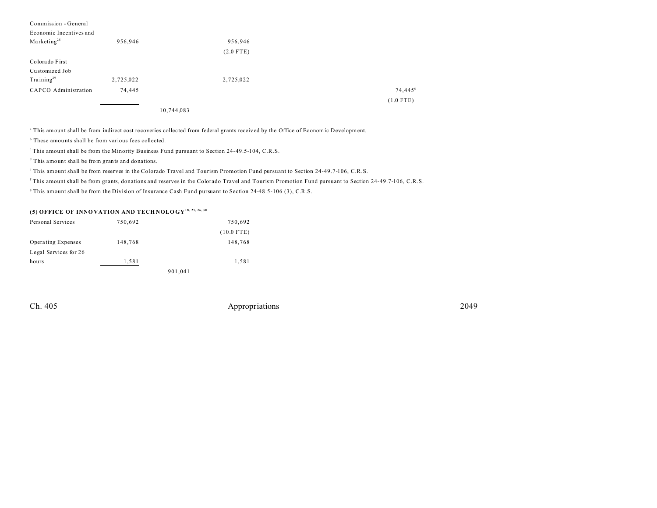| Commission - General    |           |             |                     |
|-------------------------|-----------|-------------|---------------------|
| Economic Incentives and |           |             |                     |
| Marketing <sup>28</sup> | 956,946   | 956,946     |                     |
|                         |           | $(2.0$ FTE) |                     |
| Colorado First          |           |             |                     |
| Customized Job          |           |             |                     |
| Training <sup>29</sup>  | 2,725,022 | 2,725,022   |                     |
| CAPCO Administration    | 74,445    |             | 74,445 <sup>g</sup> |
|                         |           |             | $(1.0$ FTE)         |

10,744,083

<sup>a</sup> This amount shall be from indirect cost recoveries collected from federal grants received by the Office of Economic Development.

<sup>b</sup> These amounts shall be from various fees collected.

<sup>c</sup>This amount shall be from the Minority Business Fund pursuant to Section 24-49.5-104, C.R.S.

d This amount shall be from grants and donations.

e This amount shall be from reserves in the Colorado Travel and Tourism Promotion Fund pursuant to Section 24-49.7-106, C.R.S.

f This amount shall be from grants, donations and reserves in the Colorado Travel and Tourism Promotion Fund pursuant to Section 24-49.7-106, C.R.S.

g This amount shall be from the Division of Insurance Cash Fund pursuant to Section 24-48.5-106 (3), C.R.S.

### **(5) OFFICE OF INNO VATION AND TECH NOLO GY18, 25, 26, 30**

| Personal Services     | 750,692 |         | 750,692      |
|-----------------------|---------|---------|--------------|
|                       |         |         | $(10.0$ FTE) |
| Operating Expenses    | 148,768 |         | 148,768      |
| Legal Services for 26 |         |         |              |
| hours                 | 1,581   |         | 1,581        |
|                       |         | 901,041 |              |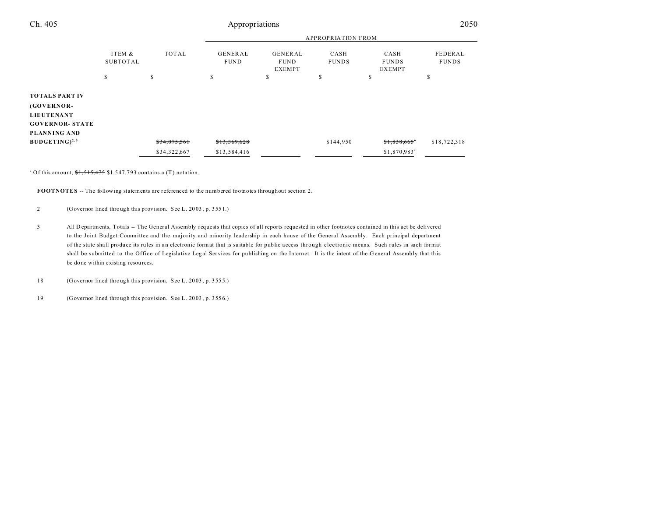| Ch. 405                                                                                            |       |                        | Appropriations                          |                      |                                       |                          | 2050         |
|----------------------------------------------------------------------------------------------------|-------|------------------------|-----------------------------------------|----------------------|---------------------------------------|--------------------------|--------------|
|                                                                                                    |       |                        |                                         |                      | <b>APPROPRIATION FROM</b>             |                          |              |
| ITEM &<br><b>SUBTOTAL</b>                                                                          | TOTAL | GENERAL<br><b>FUND</b> | GENERAL<br><b>FUND</b><br><b>EXEMPT</b> | CASH<br><b>FUNDS</b> | CASH<br><b>FUNDS</b><br><b>EXEMPT</b> | FEDERAL<br><b>FUNDS</b>  |              |
|                                                                                                    | \$    | S                      | S                                       | \$                   | \$                                    | \$                       | S            |
| <b>TOTALS PART IV</b><br>(GOVERNOR-<br><b>LIEUTENANT</b><br><b>GOVERNOR- STATE</b><br>PLANNING AND |       |                        |                                         |                      |                                       |                          |              |
| $BUDGETING)^{2,3}$                                                                                 |       | \$34,075,561           | \$13,369,628                            |                      | \$144,950                             | \$1,838,665"             | \$18,722,318 |
|                                                                                                    |       | \$34,322,667           | \$13,584,416                            |                      |                                       | \$1,870,983 <sup>a</sup> |              |

<sup>a</sup> Of this amount,  $1,515,475$  \$1,547,793 contains a (T) notation.

**FOOTNOTES** -- The following statements are referenced to the numbered footnotes throughout section 2.

2 (Governor lined through this provision. See L. 20 03 , p. 355 1.)

3 All D epa rtments, Totals -- The General Assembly requests that copies of all reports requested in other footnotes contained in this act be delivered to the Joint Budget Committee and the majority and minority leadership in each house of the General Assembly. Each principal department of the sta te sha ll produce its ru les in an electronic format that is su itable for public access through electronic means. Such rules in such format shall be submitted to the Office of Legislative Legal Services for publishing on the Internet. It is the intent of the General Assembly that this be done within existing resources.

18 (Governor lined through this provision. See L. 20 03 , p. 355 5.)

19 (Governor lined through this provision. See L. 20 03 , p. 355 6.)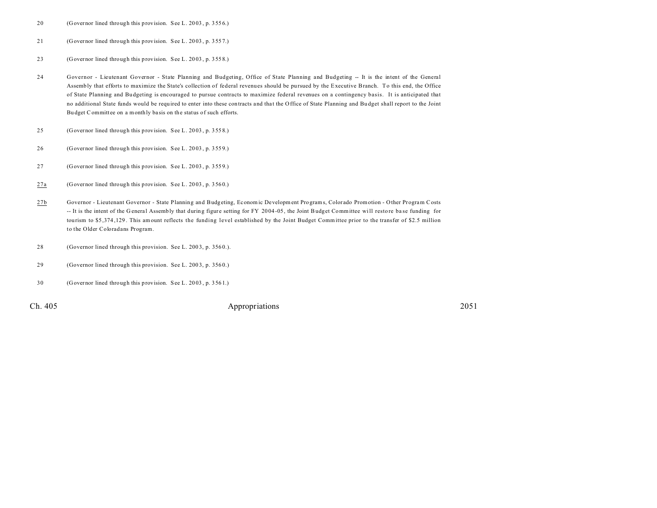- 20 (Governor lined through this provision. See L. 20 03 , p. 355 6.)
- 21 (Governor lined through this provision. See L. 20 03 , p. 355 7.)
- 23 (Governor lined through this provision. See L. 20 03 , p. 355 8.)
- 24 Governor Lieutenant Governor State Planning and Budgeting, Office of State Planning and Budgeting -- It is the intent of the General Assembly that efforts to maximize the State's collection of federal revenues should be pursued by the Executive Branch. To this end, the Office of State Planning and Bu dgeting is encouraged to pursue contracts to maximize federal revenues on a contingency basis. It is anticipated that no additional State funds would be required to enter into these contracts and tha t the Office of State Planning and Bu dget shall report to the Joint Bu dget Committee on a monthly ba sis on the status of such efforts.
- 25 (Governor lined through this provision. See L. 20 03 , p. 355 8.)
- 26 (Governor lined through this provision. See L. 20 03 , p. 355 9.)
- 27 (Governor lined through this provision. See L. 20 03 , p. 355 9.)
- 27a (Governor lined through this provision. See L. 20 03 , p. 356 0.)
- 27b Governor Lieutenant Governor State Planning and Budgeting, Economic Development Programs, Color ado Promotion Other Program Costs -- It is the intent of the General Assembly that during figure setting for FY 2004-05, the Joint Budget Committee will restore base funding for tourism to \$5 ,374 ,129 . This amount reflects the funding level established by the Joint Budget Committee prior to the transfer of \$2.5 million to the Older Coloradans Program.
- 28 (Governor lined through this provision. See L. 200 3, p. 356 0.).
- 29 (Governor lined through this provision. See L. 200 3, p. 356 0.)
- 30 (Governor lined through this provision. See L. 20 03 , p. 356 1.)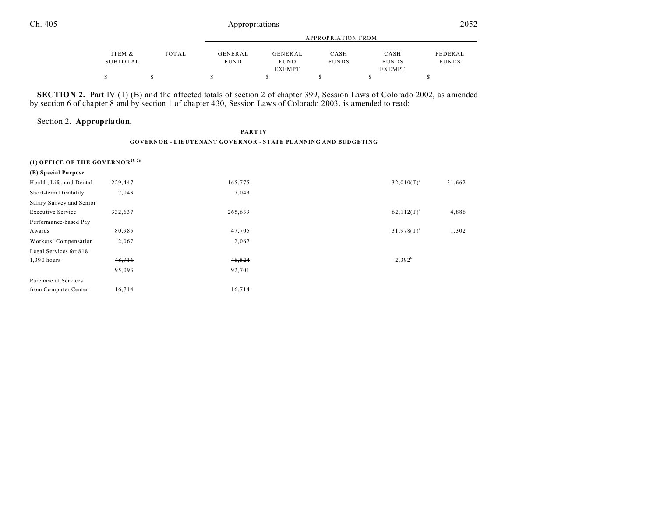|          |       | APPROPRIATION FROM |               |              |               |              |
|----------|-------|--------------------|---------------|--------------|---------------|--------------|
| ITEM &   | TOTAL | GENERAL            | GENERAL       | CASH         | CASH          | FEDERAL      |
| SUBTOTAL |       | <b>FUND</b>        | <b>FUND</b>   | <b>FUNDS</b> | <b>FUNDS</b>  | <b>FUNDS</b> |
|          |       |                    | <b>EXEMPT</b> |              | <b>EXEMPT</b> |              |
| S        |       |                    |               |              |               |              |

**SECTION 2.** Part IV (1) (B) and the affected totals of section 2 of chapter 399, Session Laws of Colorado 2002, as amended by section 6 of chapter 8 and by section 1 of chapter 430, Session Laws of Colorado 2003, is amended to read:

### Section 2. **Appropriation.**

#### **PART IV GOVERNOR - LIEUTENANT GOVERNOR - STATE PLANNING AND BUDGETING**

| (1) OFFICE OF THE GOVERNOR <sup>25, 26</sup> |         |         |                 |        |
|----------------------------------------------|---------|---------|-----------------|--------|
| (B) Special Purpose                          |         |         |                 |        |
| Health, Life, and Dental                     | 229,447 | 165,775 | $32,010(T)^{a}$ | 31,662 |
| Short-term Disability                        | 7,043   | 7,043   |                 |        |
| Salary Survey and Senior                     |         |         |                 |        |
| <b>Executive Service</b>                     | 332,637 | 265,639 | $62,112(T)^{a}$ | 4,886  |
| Performance-based Pay                        |         |         |                 |        |
| Awards                                       | 80,985  | 47,705  | $31,978(T)^{a}$ | 1,302  |
| Workers' Compensation                        | 2,067   | 2,067   |                 |        |
| Legal Services for 818                       |         |         |                 |        |
| 1,390 hours                                  | 48,916  | 46,524  | $2,392^{b}$     |        |
|                                              | 95,093  | 92,701  |                 |        |
| Purchase of Services                         |         |         |                 |        |
| from Computer Center                         | 16,714  | 16,714  |                 |        |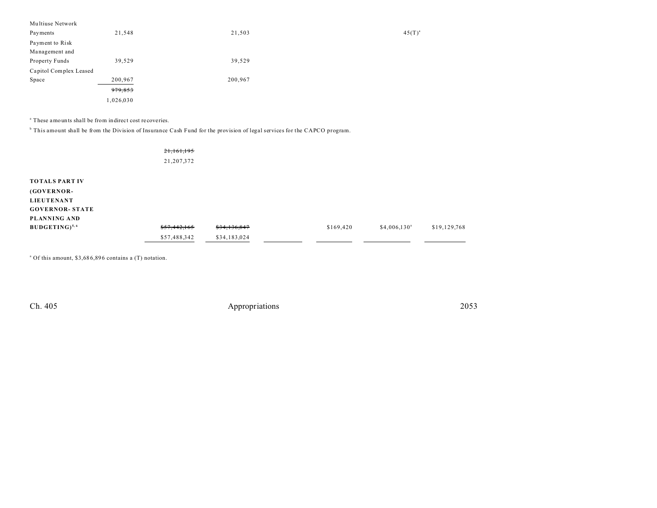| Multiuse Network       |           |         |             |
|------------------------|-----------|---------|-------------|
| Payments               | 21,548    | 21,503  | $45(T)^{3}$ |
| Payment to Risk        |           |         |             |
| Management and         |           |         |             |
| Property Funds         | 39,529    | 39,529  |             |
| Capitol Complex Leased |           |         |             |
| Space                  | 200,967   | 200,967 |             |
|                        | 979,853   |         |             |
|                        | 1,026,030 |         |             |

a These amounts shall be from indirect cost recoveries.

b This amount shall be from the Division of Insurance Cash Fund for the provision of legal services for the CAPCO program.

21,161,195 21,207,372

| <b>TOTALS PART IV</b>  |                         |              |           |                           |              |
|------------------------|-------------------------|--------------|-----------|---------------------------|--------------|
| (GOVERNOR-             |                         |              |           |                           |              |
| <b>LIEUTENANT</b>      |                         |              |           |                           |              |
| <b>GOVERNOR- STATE</b> |                         |              |           |                           |              |
| PLANNING AND           |                         |              |           |                           |              |
| $BUDGETING)^{5,6}$     | <del>\$57,442,165</del> | \$34,136,847 | \$169,420 | $$4,006,130$ <sup>a</sup> | \$19,129,768 |
|                        | \$57,488,342            | \$34,183,024 |           |                           |              |

<sup>a</sup> Of this amount, \$3,686,896 contains a (T) notation.